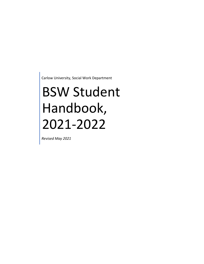Carlow University, Social Work Department

# BSW Student Handbook, 2021-2022

*Revised May 2021*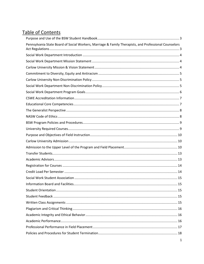## Table of Contents

| Pennsylvania State Board of Social Workers, Marriage & Family Therapists, and Professional Counselors |  |
|-------------------------------------------------------------------------------------------------------|--|
|                                                                                                       |  |
|                                                                                                       |  |
|                                                                                                       |  |
|                                                                                                       |  |
|                                                                                                       |  |
|                                                                                                       |  |
|                                                                                                       |  |
|                                                                                                       |  |
|                                                                                                       |  |
|                                                                                                       |  |
|                                                                                                       |  |
|                                                                                                       |  |
|                                                                                                       |  |
|                                                                                                       |  |
|                                                                                                       |  |
|                                                                                                       |  |
|                                                                                                       |  |
|                                                                                                       |  |
|                                                                                                       |  |
|                                                                                                       |  |
|                                                                                                       |  |
|                                                                                                       |  |
|                                                                                                       |  |
|                                                                                                       |  |
|                                                                                                       |  |
|                                                                                                       |  |
|                                                                                                       |  |
|                                                                                                       |  |
|                                                                                                       |  |
|                                                                                                       |  |
|                                                                                                       |  |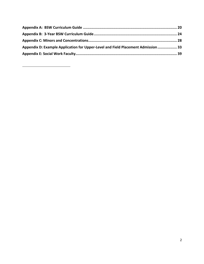<span id="page-2-0"></span>

| Appendix D: Example Application for Upper-Level and Field Placement Admission  33 |  |
|-----------------------------------------------------------------------------------|--|
|                                                                                   |  |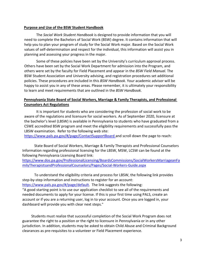## **Purpose and Use of the BSW Student Handbook**

The *Social Work Student Handbook* is designed to provide information that you will need to complete the Bachelors of Social Work (BSW) degree. It contains information that will help you to plan your program of study for the Social Work major. Based on the Social Work values of self-determination and respect for the individual, this information will assist you in planning and assessing your progress in the major.

Some of these policies have been set by the University's curriculum approval process. Others have been set by the Social Work Department for admission into the Program, and others were set by the faculty for Field Placement and appear in the *BSW Field Manual.* The BSW Student Association and University advising, and registration procedures set additional policies. These procedures are included in this *BSW Handbook.* Your academic advisor will be happy to assist you in any of these areas. Please remember, it is ultimately your responsibility to learn and meet requirements that are outlined in the *BSW Handbook.*

## <span id="page-3-0"></span>**Pennsylvania State Board of Social Workers, Marriage & Family Therapists, and Professional Counselors Act Regulations**

It is important for students who are considering the profession of social work to be aware of the regulations and licensure for social workers. As of September 2020, licensure at the bachelor's level (LBSW) is available in Pennsylvania to students who have graduated from a CSWE accredited BSW program and meet the eligibility requirements and successfully pass the LBSW examination. Refer to the following web site:

<https://www.pals.pa.gov/#/page/ContactSupportBoard> and scroll down the page to reach:

State Board of Social Workers, Marriage & Family Therapists and Professional Counselors Information regarding professional licensing for the LBSW, MSW, LCSW can be found at the following Pennsylvania Licensing Board link:

[https://www.dos.pa.gov/ProfessionalLicensing/BoardsCommissions/SocialWorkersMarriageanFa](https://www.dos.pa.gov/ProfessionalLicensing/BoardsCommissions/SocialWorkersMarriageanFamilyTherapistsandProfessionalCounselors/Pages/Social-Workers-Guide.aspx) [milyTherapistsandProfessionalCounselors/Pages/Social-Workers-Guide.aspx](https://www.dos.pa.gov/ProfessionalLicensing/BoardsCommissions/SocialWorkersMarriageanFamilyTherapistsandProfessionalCounselors/Pages/Social-Workers-Guide.aspx)

To understand the eligibility criteria and process for LBSW, the following link provides step-by-step information and instructions to register for an account: [https://www.pals.pa.gov/#/page/default.](https://www.pals.pa.gov/#/page/default) The link suggests the following:

"A good starting point is to use our [application checklist](https://www.pals.pa.gov/) to see all of the requirements and needed documents to apply for your license. If this is your first time using PALS, [create an](https://www.pals.pa.gov/#/page/register)  [account](https://www.pals.pa.gov/#/page/register) or if you are a returning user, [log in to your account.](https://www.pals.pa.gov/#/page/login) Once you are logged in, your dashboard will provide you with clear next steps."

Students must realize that successful completion of the Social Work Program does not guarantee the right to a position or the right to licensure in Pennsylvania or in any other jurisdiction. In addition, students may be asked to obtain Child Abuse and Criminal Background clearances as pre-requisites to a volunteer or Field Placement experience.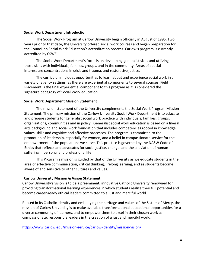## <span id="page-4-0"></span>**Social Work Department Introduction**

The Social Work Program at Carlow University began officially in August of 1995. Two years prior to that date, the University offered social work courses and began preparation for the Council on Social Work Education's accreditation process. Carlow's program is currently accredited by CSWE.

The Social Work Department's focus is on developing generalist skills and utilizing those skills with individuals, families, groups, and in the community. Areas of special interest are concentrations in crisis and trauma, and restorative justice.

The curriculum includes opportunities to learn about and experience social work in a variety of agency settings, as there are experiential components to several courses. Field Placement is the final experiential component to this program as it is considered the signature pedagogy of Social Work education.

## <span id="page-4-1"></span>**Social Work Department Mission Statement**

The mission statement of the University complements the Social Work Program Mission Statement. The primary mission of the Carlow University Social Work Department is to educate and prepare students for generalist social work practice with individuals, families, groups, organizations, communities and in policy. Generalist social work education is based on a liberal arts background and social work foundation that includes competencies rooted in knowledge, values, skills and cognitive and affective processes. The program is committed to the promotion of leadership, especially for women, and a belief in compassionate service for the empowerment of the populations we serve. This practice is governed by the NASW Code of Ethics that reflects and advocates for social justice, change, and the alleviation of human suffering in personal and professional life.

This Program's mission is guided by that of the University as we educate students in the area of effective communication, critical thinking, lifelong learning, and as students become aware of and sensitive to other cultures and values.

## <span id="page-4-2"></span>**Carlow University Mission & Vision Statement**

Carlow University's vision is to be a preeminent, innovative Catholic University renowned for providing transformational learning experiences in which students realize their full potential and become career-ready ethical leaders committed to a just and merciful world.

Rooted in its Catholic identity and embodying the heritage and values of the Sisters of Mercy, the mission of Carlow University is to make available transformational educational opportunities for a diverse community of learners, and to empower them to excel in their chosen work as compassionate, responsible leaders in the creation of a just and merciful world.

<https://www.carlow.edu/mission-service/carlow-identity/mission-vision/>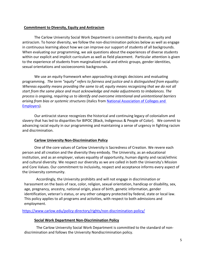## <span id="page-5-0"></span>**Commitment to Diversity, Equity and Antiracism**

The Carlow University Social Work Department is committed to diversity, equity and antiracism. To honor diversity, we follow the non-discrimination policies below as well as engage in continuous learning about how we can improve our support of students of all backgrounds. When evaluating our programming, we ask questions about the experiences of diverse students within our explicit and implicit curriculum as well as field placement. Particular attention is given to the experience of students from marginalized racial and ethnic groups, gender identities, sexual orientations and socioeconomic backgrounds.

We use an equity framework when approaching strategic decisions and evaluating programming. *The term "equity" refers to fairness and justice and is distinguished from equality: Whereas equality means providing the same to all, equity means recognizing that we do not all start from the same place and must acknowledge and make adjustments to imbalances. The process is ongoing, requiring us to identify and overcome intentional and unintentional barriers arising from bias or systemic structures* (italics from [National Association of Colleges and](https://www.naceweb.org/about-us/equity-definition/)  [Employers\)](https://www.naceweb.org/about-us/equity-definition/).

Our antiracist stance recognizes the historical and continuing legacy of colonialism and slavery that has led to disparities for BIPOC (Black, Indigenous & People of Color). We commit to advancing racial equity in our programming and maintaining a sense of urgency in fighting racism and discrimination.

## **Carlow University Non-Discrimination Policy**

<span id="page-5-1"></span>One of the core values of Carlow University is Sacredness of Creation. We revere each person and all creation and the diversity they embody. The University, as an educational institution, and as an employer, values equality of opportunity, human dignity and racial/ethnic and cultural diversity. We respect our diversity as we are called in both the University's Mission and Core Values. Our commitment to inclusivity, respect and acceptance informs every aspect of the University community.

Accordingly, the University prohibits and will not engage in discrimination or harassment on the basis of race, color, religion, sexual orientation, handicap or disability, sex, age, pregnancy, ancestry, national origin, place of birth, genetic information, gender identification, veteran's status, or any other category protected by federal, state or local law. This policy applies to all programs and activities, with respect to both admissions and employment.

<https://www.carlow.edu/policy-directory/rights/non-discrimination-policy/>

### **Social Work Department Non-Discrimination Policy**

<span id="page-5-2"></span>The Carlow University Social Work Department is committed to the standard of nondiscrimination and follows the University Nondiscrimination policy.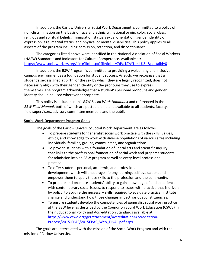In addition, the Carlow University Social Work Department is committed to a policy of non-discrimination on the basis of race and ethnicity, national origin, color, social class, religious and spiritual beliefs, immigration status, sexual orientation, gender identity or expression, age, marital status, and physical or mental disabilities. This policy applies to all aspects of the program including admission, retention, and discontinuance.

The categories listed above were identified in the National Association of Social Workers (NASW) Standards and Indicators for Cultural Competence. Available at: <https://www.socialworkers.org/LinkClick.aspx?fileticket=7dVckZAYUmk%3d&portalid=0>

In addition, the BSW Program is committed to providing a welcoming and inclusive campus environment as a foundation for student success. As such, we recognize that a student's sex assigned at birth, or the sex by which they are legally recognized, does not necessarily align with their gender identity or the pronouns they use to express themselves. The program acknowledges that a student's personal pronouns and gender identity should be used wherever appropriate.

This policy is included in this *BSW Social Work Handbook* and referenced in the *BSW Field Manual*, both of which are posted online and available to all students, faculty, field supervisors, advisory committee members and the public.

## <span id="page-6-0"></span>**Social Work Department Program Goals**

The goals of the Carlow University Social Work Department are as follows:

- To prepare students for generalist social work practice with the skills, values, ethics, and knowledge to work with diverse populations of various sizes including individuals, families, groups, communities, andorganizations.
- To provide students with a foundation of liberal arts and scientific inquiry that links to the professional foundation of social work and prepares students for admission into an BSW program as well as entry-level professional practice.
- To offer students personal, academic, and professional development which will encourage lifelong learning, self-evaluation, and empower them to apply these skills to the profession and the community.
- To prepare and promote students' ability to gain knowledge of and experience with contemporary social issues, to respond to issues with practice that is driven by policy, to acquire the necessary skills required to evaluate practice, institute change and understand how those changes impact various constituencies.
- To ensure students develop the competencies of generalist social work practice at the BSW level as described by the Council on Social Work Education (CSWE) in their Educational Policy and Accreditation Standards available at: [https://www.cswe.org/getattachment/Accreditation/Accreditation-](https://www.cswe.org/getattachment/Accreditation/Accreditation-Process/2015-EPAS/2015EPAS_Web_FINAL.pdf.aspx)[Process/2015-EPAS/2015EPAS\\_Web\\_FINAL.pdf.aspx](https://www.cswe.org/getattachment/Accreditation/Accreditation-Process/2015-EPAS/2015EPAS_Web_FINAL.pdf.aspx)

The goals are interrelated with the mission of the Social Work Program and with the mission of Carlow University.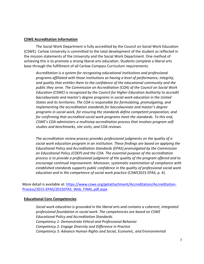## <span id="page-7-0"></span>**CSWE Accreditation Information**

The Social Work Department is fully accredited by the Council on Social Work Education (CSWE). Carlow University is committed to the total development of the student as reflected in the mission statements of the University and the Social Work Department. One method of achieving this is to promote a strong liberal arts education. Students complete a liberal arts base through the fulfillment of all Carlow Compass Curriculum requirements.

*Accreditation is a system for recognizing educational institutions and professional programs affiliated with those institutions as having a level of performance, integrity, and quality that entitles them to the confidence of the educational community and the public they serve. The Commission on Accreditation (COA) of the Council on Social Work Education (CSWE) is recognized by the Council for Higher Education Authority to accredit baccalaureate and master's degree programs in social work education in the United States and its territories. The COA is responsible for formulating, promulgating, and implementing the accreditation standards for baccalaureate and master's degree programs in social work, for ensuring the standards define competent preparation, and for confirming that accredited social work programs meet the standards. To this end, CSWE's COA administers a multistep accreditation process that involves program selfstudies and benchmarks, site visits, and COA reviews.*

*The accreditation review process provides professional judgments on the quality of a social work education program in an institution. These findings are based on applying the Educational Policy and Accreditation Standards (EPAS) promulgated by the Commission on Educational Policy (COEP) and the COA. The essential purpose of the accreditation process is to provide a professional judgment of the quality of the program offered and to encourage continual improvement. Moreover, systematic examination of compliance with established standards supports public confidence in the quality of professional social work education and in the competence of social work practice* (CSWE2015 EPAS, p. 4).

More detail is available at: [https://www.cswe.org/getattachment/Accreditation/Accreditation-](https://www.cswe.org/getattachment/Accreditation/Accreditation-Process/2015-EPAS/2015EPAS_Web_FINAL.pdf.aspx)[Process/2015-EPAS/2015EPAS\\_Web\\_FINAL.pdf.aspx](https://www.cswe.org/getattachment/Accreditation/Accreditation-Process/2015-EPAS/2015EPAS_Web_FINAL.pdf.aspx)

### <span id="page-7-1"></span>**Educational Core Competencies**

*Social work education is grounded in the liberal arts and contains a coherent, integrated professional foundation in social work. The competencies are based on CSWE Educational Policy and Accreditation Standards. Competency 1: Demonstrate Ethical and Professional Behavior Competency 2: Engage Diversity and Difference in Practice Competency 3: Advance Human Rights and Social, Economic, and Environmental*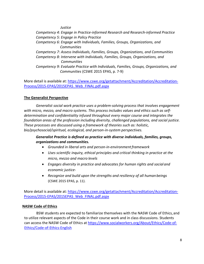*Justice Competency 4: Engage in Practice-informed Research and Research-informed Practice Competency 5: Engage in Policy Practice Competency 6: Engage with Individuals, Families, Groups, Organizations, and Communities Competency 7: Assess Individuals, Families, Groups, Organizations, and Communities Competency 8: Intervene with Individuals, Families, Groups, Organizations, and Communities Competency 9: Evaluate Practice with Individuals, Families, Groups, Organizations, and Communities* (CSWE 2015 EPAS, p. 7-9)

More detail is available at: [https://www.cswe.org/getattachment/Accreditation/Accreditation-](https://www.cswe.org/getattachment/Accreditation/Accreditation-Process/2015-EPAS/2015EPAS_Web_FINAL.pdf.aspx)[Process/2015-EPAS/2015EPAS\\_Web\\_FINAL.pdf.aspx](https://www.cswe.org/getattachment/Accreditation/Accreditation-Process/2015-EPAS/2015EPAS_Web_FINAL.pdf.aspx)

## <span id="page-8-0"></span>**The Generalist Perspective**

*Generalist social work practice uses a problem-solving process that involves engagement with micro, mezzo, and macro systems. This process includes values and ethics such as selfdetermination and confidentiality infused throughout every major course and integrates the foundation areas of the profession including diversity, challenged populations, and social justice. These processes are discussed using a framework of theories such as: holistic, bio/psychosocial/spiritual, ecological, and person-in-system perspectives.*

## *Generalist Practice is defined as practice with diverse individuals, families, groups, organizations and communities.*

- *Grounded in liberal arts and person-in-environmentframework*
- *Uses scientific inquiry, ethical principles and critical thinking in practice at the micro, mezzo and macro levels*
- *Engages diversity in practice and advocates for human rights and social and economic justice-*
- *Recognize and build upon the strengths and resiliency of all human beings* (CSWE 2015 EPAS, p. 11).

More detail is available at: [https://www.cswe.org/getattachment/Accreditation/Accreditation-](https://www.cswe.org/getattachment/Accreditation/Accreditation-Process/2015-EPAS/2015EPAS_Web_FINAL.pdf.aspx)[Process/2015-EPAS/2015EPAS\\_Web\\_FINAL.pdf.aspx](https://www.cswe.org/getattachment/Accreditation/Accreditation-Process/2015-EPAS/2015EPAS_Web_FINAL.pdf.aspx)

## <span id="page-8-1"></span>**NASW Code of Ethics**

BSW students are expected to familiarize themselves with the NASW Code of Ethics,and to utilize relevant aspects of the Code in their course work and in class discussions. Students can access the NASW Code of Ethics a[t https://www.socialworkers.org/About/Ethics/Code-of-](https://www.socialworkers.org/About/Ethics/Code-of-Ethics/Code-of-Ethics-English)[Ethics/Code-of-Ethics-English](https://www.socialworkers.org/About/Ethics/Code-of-Ethics/Code-of-Ethics-English)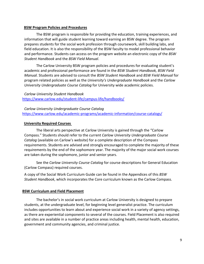### <span id="page-9-0"></span>**BSW Program Policies and Procedures**

The BSW program is responsible for providing the education, training experiences, and information that will guide student learning toward earning an BSW degree. The program prepares students for the social work profession through coursework, skill building labs, and field education. It is also the responsibility of the BSW faculty to model professional behavior and performance. Students can access on the program website an electronic copy of the *BSW Student Handbook* and the *BSW Field Manual*.

The Carlow University BSW program policies and procedures for evaluating student's academic and professional performance are found in the *BSW Student Handbook, BSW Field Manual.* Students are advised to consult the *BSW Student Handbook* and *BSW Field Manual* for program related policies as well as the *University's Undergraduate Handbook* and the *Carlow University Undergraduate Course Catalog* for University wide academic policies.

*Carlow University Student Handbook* <https://www.carlow.edu/student-life/campus-life/handbooks/>

*Carlow University Undergraduate Course Catalog* <https://www.carlow.edu/academic-programs/academic-information/course-catalogs/>

#### <span id="page-9-1"></span>**University Required Courses**

The liberal arts perspective at Carlow University is gained through the "Carlow Compass." Students should refer to the current *Carlow University Undergraduate Course Catalog* (available on Carlow's website) for a complete description of the Compass requirements. Students are advised and strongly encouraged to complete the majority of these requirements by the end of the sophomore year. The majority of the major social work courses are taken during the sophomore, junior and senior years.

See the *Carlow University Course Catalog* for course descriptions for General Education (Carlow Compass) required courses.

A copy of the Social Work Curriculum Guide can be found in the Appendices of this *BSW Student Handbook*, which incorporates the Core curriculum known as the Carlow Compass.

### **BSW Curriculum and Field Placement**

The bachelor's in social work curriculum at Carlow University is designed to prepare students, at the undergraduate level, for beginning level generalist practice. The curriculum includes opportunities to learn about and experience social work in a variety of agency settings, as there are experiential components to several of the courses. Field Placement is also required and sites are available in a number of practice areas including health, mental health, education, government and community agencies, and criminal justice.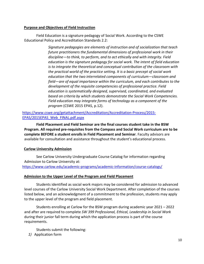## <span id="page-10-0"></span>**Purpose and Objectives of Field Instruction**

Field Education is a signature pedagogy of Social Work. According to the CSWE Educational Policy and Accreditation Standards 2.2:

> *Signature pedagogies are elements of instruction and of socialization that teach future practitioners the fundamental dimensions of professional work in their discipline—to think, to perform, and to act ethically and with integrity. Field education is the signature pedagogy for social work. The intent of field education is to integrate the theoretical and conceptual contribution of the classroom with the practical world of the practice setting. It is a basic precept of social work education that the two interrelated components of curriculum—classroom and field—are of equal importance within the curriculum, and each contributes to the development of the requisite competencies of professional practice. Field education is systematically designed, supervised, coordinated, and evaluated based on criteria by which students demonstrate the Social Work Competencies. Field education may integrate forms of technology as a component of the program* (CSWE 2015 EPAS, p.12).

[https://www.cswe.org/getattachment/Accreditation/Accreditation-Process/2015-](https://www.cswe.org/getattachment/Accreditation/Accreditation-Process/2015-EPAS/2015EPAS_Web_FINAL.pdf.aspx) [EPAS/2015EPAS\\_Web\\_FINAL.pdf.aspx](https://www.cswe.org/getattachment/Accreditation/Accreditation-Process/2015-EPAS/2015EPAS_Web_FINAL.pdf.aspx)

**Field Placement and Field Seminar are the final courses student take in the BSW Program. All required pre-requisites from the Compass and Social Work curriculum are to be complete BEFORE a student enrolls in Field Placement and Seminar**. Faculty advisors are available for consultation and assistance throughout the student's educational process.

### <span id="page-10-1"></span>**Carlow University Admission**

See Carlow University Undergraduate Course Catalog for information regarding Admission to Carlow University at:

<https://www.carlow.edu/academic-programs/academic-information/course-catalogs/>

### <span id="page-10-2"></span>**Admission to the Upper Level of the Program and Field Placement**

Students identified as social work majors may be considered for admission to advanced level courses of the Carlow University Social Work Department. After completion of the courses listed below, and an acknowledgment of a commitment to the profession, students may apply to the upper level of the program and field placement.

Students enrolling at Carlow for the BSW program during academic year 2021 – 2022 and after are required to complete *SW 399 Professional, Ethical, Leadership in Social Work*  during their junior fall term during which the application process is part of the course requirements.

- Students submit the following:
- *1)* Application form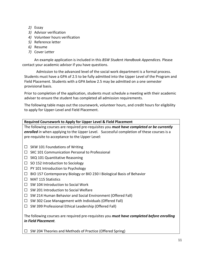- *2)* Essay
- *3)* Advisor verification
- *4)* Volunteer hours verification
- *5)* Reference letter
- *6)* Resume
- *7)* Cover Letter

An example application is included in this *BSW Stud*ent *Handbook Appendices.* Please contact your academic advisor if you have questions.

Admission to the advanced level of the social work department is a formal process. Students must have a GPA of 2.5 to be fully admitted into the Upper Level of the Program and Field Placement. Students with a GPA below 2.5 may be admitted on a one semester provisional basis.

Prior to completion of the application, students must schedule a meeting with their academic adviser to ensure the student has completed all admission requirements.

The following table maps out the coursework, volunteer hours, and credit hours for eligibility to apply for Upper-Level and Field Placement.

## **Required Coursework to Apply for Upper Level & Field Placement**

The following courses are required pre-requisites you *must have completed or be currently enrolled in* when applying to the Upper Level. Successful completion of these courses is a pre-requisite to acceptance to the Upper Level:

- $\Box$  SKW 101 Foundations of Writing
- ☐ SKC 101 Communication Personal to Professional
- $\Box$  SKQ 101 Quantitative Reasoning
- $\Box$  SO 152 Introduction to Sociology
- $\Box$  PY 101 Introduction to Psychology
- ☐ BIO 157 Contemporary Biology or BIO 230 I Biological Basis of Behavior
- ☐ MAT 115 Statistics
- $\Box$  SW 104 Introduction to Social Work
- $\Box$  SW 201 Introduction to Social Welfare
- ☐ SW 214 Human Behavior and Social Environment (Offered Fall)
- $\Box$  SW 302 Case Management with Individuals (Offered Fall)
- ☐ SW 399 Professional Ethical Leadership (Offered Fall)

The following courses are required pre-requisites you *must have completed before enrolling in Field Placement.*

 $\Box$  SW 204 Theories and Methods of Practice (Offered Spring)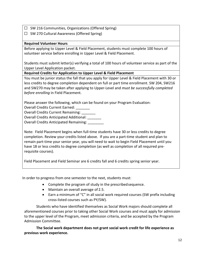- $\Box$  SW 216 Communities, Organizations (Offered Spring)
- $\Box$  SW 270 Cultural Awareness (Offered Spring)

## **Required Volunteer Hours**

Before applying to Upper Level & Field Placement, students must complete 100 hours of volunteer service before enrolling in Upper Level & Field Placement.

Students must submit letter(s) verifying a total of 100 hours of volunteer service as part of the Upper Level Application packet.

**Required Credits for Application to Upper Level & Field Placement**

You must be junior status the fall that you apply for Upper Level & Field Placement with 30 or less credits to degree completion dependent on full or part time enrollment. SW 204, SW216 and SW270 may be taken after applying to Upper-Level and *must be successfully completed before enrolling* in Field Placement.

Please answer the following, which can be found on your Program Evaluation:

Overall Credits Current Earned: \_\_\_\_\_\_\_

Overall Credits Current Remaining: \_\_\_\_\_\_\_

Overall Credits Anticipated Additional: \_\_\_\_\_\_\_

Overall Credits Anticipated Remaining: \_\_\_\_\_\_\_\_

Note: Field Placement begins when full-time students have 30 or less credits to degree completion. Review your credits listed above. If you are a part-time student and plan to remain part-time your senior year, you will need to wait to begin Field Placement until you have 18 or less credits to degree completion (as well as completion of all required prerequisite courses).

Field Placement and Field Seminar are 6 credits fall and 6 credits spring senior year.

In order to progress from one semester to the next, students must:

- Complete the program of study in the prescribedsequence.
- Maintain an overall average of 2.5.
- Earn a minimum of "C" in all social work required courses (SW prefix including cross-listed courses such as PY/SW).

Students who have identified themselves as Social Work majors should complete all aforementioned courses prior to taking other Social Work courses and must apply for admission to the upper level of the Program, meet admission criteria, and be accepted by the Program Admission Committee.

**The Social work department does not grant social work credit for life experience as previous work experience.**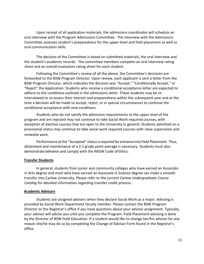Upon receipt of all application materials, the admissions coordinator will schedule an oral interview with the Program Admissions Committee. The interview with the Admissions Committee assesses student's preparedness for the upper-level and field placement as well as oral communication skills.

The decision of the Committee is based on submitted materials, the oral interview and the student's academic records. The committee members complete an oral interview rating sheet and an overall evaluation rating sheet for each student.

Following the Committee's review of all the above, the Committee's decisions are forwarded to the BSW Program Director. Upon review, each applicant is sent a letter from the BSW Program Director, which indicates the decision was "Accept," "Conditionally Accept," or "Reject" the Application. Students who receive a conditional acceptance letter are expected to adhere to the conditions outlined in the admissions letter. These students may be reinterviewed to re-assess their interest and preparedness within the subsequent year and at the time a decision will be made to accept, reject, or in special circumstances to continue the conditional acceptance with new conditions.

Students who do not satisfy the admission requirements to the upper level of the program and are rejected may not continue to take Social Work required courses, with exception of elective courses that are open to the University in general. Students admitted on a provisional status may continue to take social work required courses with close supervision and remedial work.

Performance at the "Accepted" status is required for entrance into Field Placement. Thus, attainment and maintenance of a 2.5 grade point average is necessary. Students must also demonstrate behavior and comply with the NASW Code ofEthics.

## <span id="page-13-0"></span>**Transfer Students**

In general, students from junior and community colleges who have earned an Associate in Arts degree and most who have earned an Associate in Science degree can make a smooth transfer into Carlow University. Please refer to the current *Carlow Undergraduate Course Catalog* for detailed information regarding transfer credit process.

### <span id="page-13-1"></span>**Academic Advisors**

Students are assigned advisers when they declare Social Work as a major. Advising is provided by Social Work Department faculty member. Please contact the BSW Program Director or the Registrar's office if you have questions about your advisor assignment. Typically, your advisor will advise you until you complete the Program. Field Placement advising is done by the Director of BSW Field Education. If a student would like to change her/his advisor for any reason she/he may do so by completing the Change of Advisor Form found in the Registrar's office.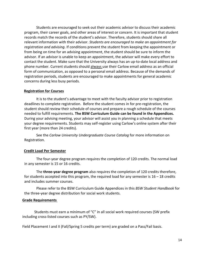Students are encouraged to seek out their academic advisor to discuss their academic program, their career goals, and other areas of interest or concern. It is important that student records match the records of the student's advisor. Therefore, students should share all relevant information with their advisor. *Students are encouraged to make an appointment for registration and advising.* If conditions prevent the student from keeping the appointment or from being on time for an advising appointment, the student should be sure to inform the advisor. If an advisor is unable to keep an appointment, the advisor will make every effort to contact the student. Make sure that the University always has an up-to-date local address and phone number. Current students should always use their Carlow email address as an official form of communication, as opposed to a personal email address. Because of the demands of registration periods, students are encouraged to make appointments for general academic concerns during less busy periods.

#### <span id="page-14-0"></span>**Registration for Courses**

It is to the student's advantage to meet with the faculty advisor prior to registration deadlines to complete registration. Before the student comes in for pre-registration, the student should review their schedule of courses and prepare a rough schedule of the courses needed to fulfill requirements. **The BSW Curriculum Guide can be found in the Appendices.**  During your advising meeting, your advisor will assist you in planning a schedule that meets your degree requirements. Students may self-register using Carlow's online system after their first year (more than 24 credits).

See the *Carlow University Undergraduate Course Catalog* for more information on Registration.

### <span id="page-14-1"></span>**Credit Load Per Semester**

The four-year degree program requires the completion of 120 credits. The normal load in any semester is 15 or 16 credits.

The **three-year degree program** also requires the completion of 120 credits therefore, for students accepted into this program, the required load for any semester is  $16 - 18$  credits and includes summer courses.

Please refer to the BSW Curriculum Guide Appendices in this *BSW Student Handbook* for the three-year degree distribution for social work students.

#### **Grade Requirements**

Students must earn a minimum of "C" in all social work required courses (SW prefix including cross-listed courses such as PY/SW).

Field Placement I and II (Fall/Spring 5 credits per term) are graded on a Pass/Fail basis.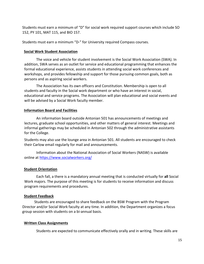Students must earn a minimum of "D" for social work required support courses which include SO 152, PY 101, MAT 115, and BIO 157.

Students must earn a minimum "D-" for University required Compass courses.

### <span id="page-15-0"></span>**Social Work Student Association**

The voice and vehicle for student involvement is the Social Work Association (SWA). In addition, SWA serves as an outlet for service and educational programming that enhances the formal educational experience, assists students in attending social work conferences and workshops, and provides fellowship and support for those pursuing common goals, both as persons and as aspiring social workers.

The Association has its own officers and Constitution. Membership is open to all students and faculty in the Social work department or who have an interest in social, educational and service programs. The Association will plan educational and social events and will be advised by a Social Work faculty member.

## <span id="page-15-1"></span>**Information Board and Facilities**

An information board outside Antonian 501 has announcements of meetings and lectures, graduate school opportunities, and other matters of general interest. Meetings and informal gatherings may be scheduled in Antonian 502 through the administrative assistants for the College.

Students may also use the lounge area in Antonian 501. All students are encouraged to check their Carlow email regularly for mail and announcements.

Information about the National Association of Social Workers (NASW) is available online at<https://www.socialworkers.org/>

### <span id="page-15-2"></span>**Student Orientation**

Each fall, a there is a mandatory annual meeting that is conducted virtually for **all** Social Work majors. The purpose of this meeting is for students to receive information and discuss program requirements and procedures.

### <span id="page-15-3"></span>**Student Feedback**

Students are encouraged to share feedback on the BSW Program with the Program Director and/or Social Work faculty at any time. In addition, the Department organizes a focus group session with students on a bi-annual basis.

### <span id="page-15-4"></span>**Written Class Assignments**

Students are expected to communicate effectively orally and in writing. These skills are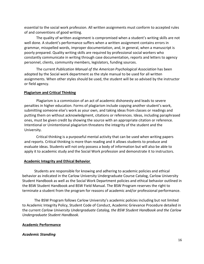essential to the social work profession. All written assignments must conform to accepted rules of and conventions of good writing.

The quality of written assignment is compromised when a student's writing skills are not well done. A student's performance suffers when a written assignment contains errors in grammar, misspelled words, improper documentation, and, in general, when a manuscript is poorly prepared. Quality writing skills are required by professional social workers who constantly communicate in writing through case documentation, reports and letters to agency personnel, clients, community members, legislators, funding sources.

The current *Publication Manual of the American Psychological Association* has been adopted by the Social work department as the style manual to be used for all written assignments. When other styles should be used, the student will be so advised by the instructor or field agency.

### <span id="page-16-0"></span>**Plagiarism and Critical Thinking**

Plagiarism is a commission of an act of academic dishonesty and leads to severe penalties in higher education. Forms of plagiarism include copying another student's work, submitting someone else's work as your own, and taking ideas from classes or readings and putting them on without acknowledgment, citations or references. Ideas, including paraphrased ones, must be given credit by showing the source with an appropriate citation or reference. Intentional or Unintentional plagiarism threatens the integrity of the student and the University.

Critical thinking is a purposeful mental activity that can be used when writing papers and reports. Critical thinking is more than reading and it allows students to produce and evaluate ideas. Students will not only possess a body of information but will also be able to apply it to academic study and the Social Work profession and demonstrate it to instructors.

### <span id="page-16-1"></span>**Academic Integrity and Ethical Behavior**

Students are responsible for knowing and adhering to academic policies and ethical behavior as indicated in the Carlow University Undergraduate Course Catalog, Carlow University Student Handbook as well as the Social Work Department policies and ethical behavior outlined in the BSW Student Handbook and BSW Field Manual. The BSW Program reserves the right to terminate a student from the program for reasons of academic and/or professional performance.

The BSW Program follows Carlow University's academic policies including but not limited to Academic Integrity Policy, Student Code of Conduct, Academic Grievance Procedure detailed in the current *Carlow University Undergraduate Catalog, the BSW Student Handbook and the Carlow Undergraduate Student Handbook.* 

## <span id="page-16-2"></span>**Academic Performance**

## *Academic Standing*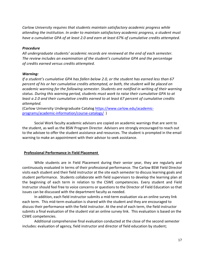*Carlow University requires that students maintain satisfactory academic progress while attending the institution. In order to maintain satisfactory academic progress, a student must have a cumulative GPA of at least 2.0 and earn at least 67% of cumulative credits attempted.*

### *Procedure*

*All undergraduate students' academic records are reviewed at the end of each semester. The review includes an examination of the student's cumulative GPA and the percentage of credits earned versus credits attempted.*

#### *Warning:*

*If a student's cumulative GPA has fallen below 2.0, or the student has earned less than 67 percent of his or her cumulative credits attempted, or both, the student will be placed on academic warning for the following semester. Students are notified in writing of their warning status. During this warning period, students must work to raise their cumulative GPA to at least a 2.0 and their cumulative credits earned to at least 67 percent of cumulative credits attempted.*

(Carlow University Undergraduate Catalog [https://www.carlow.edu/academic](https://www.carlow.edu/academic-programs/academic-information/course-catalogs/)[programs/academic-information/course-catalogs/](https://www.carlow.edu/academic-programs/academic-information/course-catalogs/) )

Social Work faculty academic advisors are copied on academic warnings that are sent to the student, as well as the BSW Program Director. Advisors are strongly encouraged to reach out to the advisee to offer the student assistance and resources. The student is prompted in the email warning to make an appointment with their advisor to seek assistance.

### <span id="page-17-0"></span>**Professional Performance in Field Placement**

While students are in Field Placement during their senior year, they are regularly and continuously evaluated in terms of their professional performance. The Carlow BSW Field Director visits each student and their field instructor at the site each semester to discuss learning goals and student performance. Students collaborate with field supervisors to develop the learning plan at the beginning of each term in relation to the CSWE competencies. Every student and Field Instructor should feel free to voice concerns or questions to the Director of Field Education so that issues can be discussed with the department faculty as needed.

In addition, each field instructor submits a mid-term evaluation via an online survey link each term. This mid-term evaluation is shared with the student and they are encouraged to discuss their performance with the field instructor. At the end of each term, the field instructor submits a final evaluation of the student vial an online survey link. This evaluation is based on the CSWE competencies.

Additional comprehensive final evaluation conducted at the close of the second semester includes: evaluation of agency, field instructor and director of field education by student;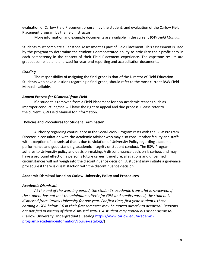evaluation of Carlow Field Placement program by the student; and evaluation of the Carlow Field Placement program by the field instructor.

More information and example documents are available in the current *BSW Field Manual*.

Students must complete a Capstone Assessment as part of Field Placement. This assessment is used by the program to determine the student's demonstrated ability to articulate their proficiency in each competency in the context of their Field Placement experience. The capstone results are graded, compiled and analyzed for year-end reporting and accreditation documents.

## *Grading*

The responsibility of assigning the final grade is that of the Director of Field Education. Students who have questions regarding a final grade, should refer to the most current BSW Field Manual available.

## *Appeal Process for Dismissal from Field*

If a student is removed from a Field Placement for non-academic reasons such as improper conduct, he/she will have the right to appeal and due process. Please refer to the current BSW Field Manual for information.

## <span id="page-18-0"></span>**Policies and Procedures for Student Termination**

Authority regarding continuance in the Social Work Program rests with the BSW Program Director in consultation with the Academic Advisor who may also consult other faculty and staff; with exception of a dismissal that is due to violation of University Policy regarding academic performance and good standing, academic integrity or student conduct. The BSW Program adheres to University policy and decision-making. A discontinuance decision is serious and may have a profound effect on a person's future career; therefore, allegations and unverified circumstances will not weigh into the discontinuance decision. A student may initiate a grievance procedure if there is dissatisfaction with the discontinuance decision.

### **Academic Dismissal Based on Carlow University Policy and Procedures**

## *Academic Dismissal:*

*At the end of the warning period, the student's academic transcript is reviewed. If the student has not met the minimum criteria for GPA and credits earned, the student is dismissed from Carlow University for one year. For first--time, first--year students, those earning a GPA below 1.0 in their first semester may be moved directly to dismissal. Students are notified in writing of their dismissal status. A student may appeal his or her dismissal.* (Carlow University Undergraduate Catalog [https://www.carlow.edu/academic](https://www.carlow.edu/academic-programs/academic-information/course-catalogs/)[programs/academic-information/course-catalogs/\)](https://www.carlow.edu/academic-programs/academic-information/course-catalogs/)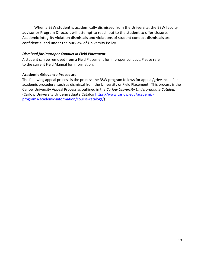When a BSW student is academically dismissed from the University, the BSW faculty advisor or Program Director, will attempt to reach out to the student to offer closure. Academic integrity violation dismissals and violations of student conduct dismissals are confidential and under the purview of University Policy.

## *Dismissal for Improper Conduct in Field Placement:*

A student can be removed from a Field Placement for improper conduct. Please refer to the current Field Manual for information.

## **Academic Grievance Procedure**

The following appeal process is the process the BSW program follows for appeal/grievance of an academic procedure, such as dismissal from the University or Field Placement. This process is the Carlow University Appeal Process as outlined in the *Carlow University Undergraduate Catalog.* (Carlow University Undergraduate Catalog [https://www.carlow.edu/academic](https://www.carlow.edu/academic-programs/academic-information/course-catalogs/)[programs/academic-information/course-catalogs/\)](https://www.carlow.edu/academic-programs/academic-information/course-catalogs/)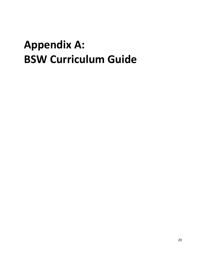## <span id="page-20-0"></span>**Appendix A: BSW Curriculum Guide**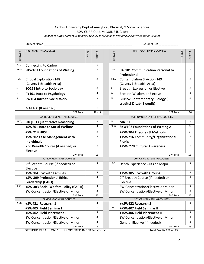## Carlow University Dept of Analytical, Physical, & Social Sciences BSW CURRICULUM GUIDE (UG sw)

*Applies to BSW Students Beginning Fall 2021 for Change in Required Social Work Major Courses*

|                | Student Name<br>Student ID#                                |      |              |  |                              |                                                                    |      |                |
|----------------|------------------------------------------------------------|------|--------------|--|------------------------------|--------------------------------------------------------------------|------|----------------|
| <b>Compass</b> | FIRST YEAR - FALL COURSES                                  | Done | Credits      |  | Compass                      | FIRST YEAR - SPRING COURSES                                        | Done | Credits        |
| <b>CTC</b>     | <b>Connecting to Carlow</b>                                |      | $\mathbf{1}$ |  |                              |                                                                    |      |                |
| <b>SKW</b>     | <b>SKW101 Foundations of Writing</b>                       |      | 3            |  | <b>SKC</b>                   | <b>SKC101 Communication Personal to</b><br>Professional            |      | 3              |
| CE             | <b>Critical Exploration 148</b><br>(Covers 1 Breadth Area) |      | 3            |  | C&A                          | Contemplation & Action 149<br>(Covers 1 Breadth Area)              |      | 3              |
| S              | <b>SO152 Intro to Sociology</b>                            |      | 3            |  | Ε                            | <b>Breadth Expression or Elective</b>                              |      | 3              |
| N              | PY101 Intro to Psychology                                  |      | 3            |  | W                            | Breadth Wisdom or Elective                                         |      | 3              |
| S              | <b>SW104 Intro to Social Work</b>                          |      | 3            |  | N                            | <b>BIO157 Contemporary Biology (3</b><br>credits) & Lab (1 credit) |      | 4              |
|                | MAT100 (If needed)                                         |      | $\mathbf{1}$ |  |                              |                                                                    |      |                |
|                | <b>GPA Total</b>                                           |      | $16 - 17$    |  |                              | <b>GPA Total</b>                                                   |      | 16             |
|                | SOPHOMORE YEAR - FALL COURSES                              |      |              |  |                              | SOPHOMORE YEAR - SPRING COURSES                                    |      |                |
| SKQ            | <b>SKQ101 Quantitative Reasoning</b>                       |      | 3            |  | N                            | <b>MAT115</b>                                                      |      | 3              |
|                | +SW201 Intro to Social Welfare                             |      | 3            |  | SKW                          | <b>SKW102 Foundations of Writing 2</b>                             |      | $\overline{3}$ |
|                | +SW 214 HBSE                                               |      | 3            |  |                              | ++SW204 Theories & Methods                                         |      | 3              |
|                | +SW302 Case Management with<br><b>Individuals</b>          |      | 3            |  |                              | ++SW216 Community/Organizational<br><b>Praxis</b>                  |      | 3              |
|                | 2nd Breadth Course (if needed) or<br>Elective              |      | 3            |  |                              | ++SW 270 Cultural Awareness                                        |      | 3              |
|                | <b>GPA Total</b>                                           |      | 15           |  |                              | <b>GPA Total</b>                                                   |      | 15             |
|                | JUNIOR YEAR - FALL COURSES                                 |      |              |  |                              | JUNIOR YEAR - SPRING COURSES                                       |      |                |
|                | 2 <sup>nd</sup> Breadth Course (if needed) or<br>Elective  |      | 3            |  | DE                           | Depth Experience Outside Major                                     |      | 3              |
|                | +SW304 SW with Families                                    |      | 3            |  |                              | ++SW305 SW with Groups                                             |      | 3              |
|                | +SW 399 Professional Ethical<br>Leadership (CAP I)         |      | 3            |  |                              | 2 <sup>nd</sup> Breadth Course (if needed) or<br>Elective          |      | 3              |
| <b>ESR</b>     | +SW 303 Social Welfare Policy (CAP II)                     |      | 3            |  |                              | SW Concentration/Elective or Minor                                 |      | 3              |
|                | SW Concentration/Elective or Minor                         |      | 3            |  |                              | SW Concentration/Elective or Minor                                 |      | 3              |
|                | <b>GPA Total</b>                                           |      | 15           |  |                              | <b>GPA Total</b>                                                   |      | 15             |
| ANC            | SENIOR YEAR - FALL COURSES<br>+SW421 Research 1            |      | 3            |  |                              | SENIOR YEAR - SPRING COURSES<br>++SW422 Research 2                 |      | 3              |
|                | +SW405 Field Seminar I                                     |      | $\mathbf{1}$ |  | МC                           | ++SW407 Field Seminar II                                           |      | $\mathbf{1}$   |
|                | +SW402 Field Placement I                                   |      | 5            |  |                              | ++SW406 Field Placement II                                         |      | 5              |
|                | SW Concentration/Elective or Minor                         |      | 3            |  |                              | SW Concentration/Elective or Minor                                 |      | 3              |
|                | SW Concentration/Elective or Minor                         |      | 3            |  | General Elective (if needed) |                                                                    |      | 3              |
|                | <b>GPA Total</b>                                           |      | 15           |  |                              | <b>GPA Total</b>                                                   |      | 15             |
|                |                                                            |      |              |  |                              |                                                                    |      |                |

+ OFFERED IN FALL ONLY ++ OFFERED IN SPRING ONLY Total Credits 122 - 123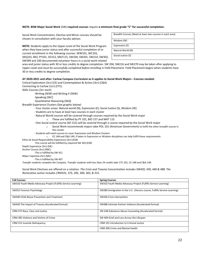#### **NOTE: BSW Major Social Work** (SW) **required courses** require **a minimum final grade "C" for successful completion.**

Social Work Concentration, Elective and Minor courses should be chosen in consultation with your faculty advisor.

**NOTE:** Students apply to the Upper-Level of the Social Work Program when they have junior status and after successful completion of or current enrollment in the following courses: SKW101, SKC101, SKQ101, BIO, PY101, SO152, MAT115, SW104, SW201, SW214, SW302,

SW399 and 100 documented volunteer hours in a social work-related

| Breadth Courses (Need at least two courses in each area) |
|----------------------------------------------------------|
| Wisdom (W)                                               |
| Expression (E)                                           |
| Natural World (N)                                        |
| Social Justice (S)                                       |

area and junior status with 30 or less credits to degree completion. SW 204, SW216 and SW270 may be taken after applying to Upper-Level and *must be successfully completed before enrolling* in Field Placement. Field Placement begins when students have 30 or less credits to degree completion.

#### **AY 2020-2021 and after: Carlow Compass Curriculum as it applies to Social Work Majors --Courses needed:**

Critical Exploration (3cr) (CE) and Contemplation & Action (3cr) (C&A)

Connecting to Carlow (1cr) (CTC)

Skills Courses (3cr each)

- -Writing (SKW) and Writing II (SKW)
- -Speaking (SKC)
- -Quantitative Reasoning (SKQ)

Breadth Experience Clusters (See graphic below)

- Four cluster areas: Natural world (N), Expression (E), Social Justice (S), Wisdom (W)
- Students are to have at least two courses in each cluster
- Natural World courses will be covered through courses required by the Social Work major
	- o These are fulfilled by PY 101, BIO 157 and MAT 115
- One Social Justice course (SO 152) will be covered through a course required by the Social Work major
	- o Social Work recommends majors take POL 101 (American Government) to fulfill the other breadth course in this cluster
- Students will need courses to cover Expression and Wisdom Clusters

o CE 148 and C&A 149, if taken in Expression or Wisdom disciplines can help fulfill these requirements

Ethics & Social Responsibility Experience (3cr) (ESR)

-This course will be fulfilled by required SW 303 (ESR)

Depth Experience (3cr) (DE)

Anchor Course (3cr) (ANC)

-This is fulfilled by SW 421

Major Capstone (3cr) (MC) -This is fulfilled by SW 407

*Transfer students complete the Compass. Transfer students with less than 24 credits take CTC 101, CE 148 and C&A 149.* 

Social Work Electives are offered on a rotation. *The Crisis and Trauma Concentration includes SW420, 430, 440 & 488. The Restorative Justice includes CRM101, 375, 285, 300, 303, & 315.* 

| <b>Fall Courses</b>                                            | <b>Spring Courses</b>                                                    |
|----------------------------------------------------------------|--------------------------------------------------------------------------|
| SW310 Youth Media Advocacy Project (Fulfills Service-Learning) | SW310 Youth Media Advocacy Project (Fulfills Service-Learning)           |
| SW352 Forensic Psychology                                      | SW280 Immigration in the U.S. (Honors course, Fulfills Service-Learning) |
| SW440 Child Abuse Prevention and Treatment                     | SW430 Crisis Intervention                                                |
| SW420 The Impact of Trauma (Accelerated format)                | SW488 Intimate Partner Violence (Accelerated format)                     |
| CRM 375 Race, Class and Justice                                | SW 438 Substance Abuse Counseling (Accelerated format)                   |
| CRM 285 Violence and Victims of Crime                          | SW 404 Grief and Loss Across the Lifespan                                |
| CRM 315 Juvenile Delinguency                                   | CRM 101 Introduction to Criminal Justice                                 |
|                                                                | CRM 300 Crime and Mental Health                                          |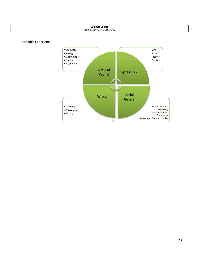| <b>Summer Course</b><br>.   |
|-----------------------------|
| CRM 303 Prisons and Society |
|                             |



Breadth Experience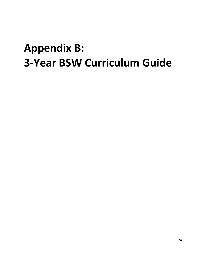## <span id="page-24-0"></span>**Appendix B: 3-Year BSW Curriculum Guide**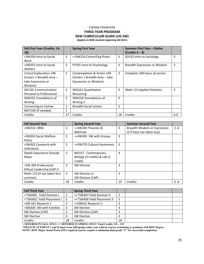#### Carlow University **THREE-YEAR PROGRAM BSW CURRICULUM GUIDE (UG SW) (Applies to BSW students beginning fall 2021)**

**Fall First Year (Credits: 16- 18) Spring First Year Summer First Year – Online (Credits 6 – 9)** +SW104 Intro to Social Work  $3 \mid +5$ W216 Comm/Org Praxis  $\mid 3 \mid$  SO152 Intro to Sociology  $\mid 3 \mid$ +SW201 Intro to Social Welfare  $3$  PY101 Intro to Psychology  $3$  Breadth Expression or Wisdom 3 Critical Exploration 148 (Covers 1 Breadth Area – take Expression or Wisdom) 3 Contemplation & Action 149 (Covers 1 Breadth Area – take Expression or Wisdom) 3 *Complete 100 hours of service*  SKC101 Communication Personal to Professional 3 SKQ101 Quantitative Reasoning 3 | Math 115 Applied Statistics | 3 SKW101 Foundations of Writing 3 | SKW102 Foundations of Writing 2 3 Connecting to Carlow  $\begin{vmatrix} 1 & \text{Breadth Social Justice} \end{vmatrix}$  3 MAT100 (If needed) 1 *Credits: 17 Credits: 18 Credits: 6-9*

| <b>Fall Second Year</b>      |    | <b>Spring Second Year</b>    |    | <b>Summer Second Year</b>    |         |
|------------------------------|----|------------------------------|----|------------------------------|---------|
| +SW214 HBSE                  | 3  | ++SW204 Theories &           | 3  | Breadth Wisdom or Expression | $3 - 6$ |
|                              |    | <b>Methods</b>               |    | (2 if have not taken any)    |         |
| +SW303 Social Welfare        | 3  | ++SW305 SW with Groups       | 3  |                              |         |
| Policy                       |    |                              |    |                              |         |
| +SW302 Casework with         | 3  | ++SW270 Cultural Awareness   | 3  |                              |         |
| <b>Individuals</b>           |    |                              |    |                              |         |
| Depth Experience Outside     | 3  | BIO157 Contemporary          | 4  |                              |         |
| Major                        |    | Biology (3 credits) & Lab (1 |    |                              |         |
|                              |    | credit)                      |    |                              |         |
| +SW 399 Professional         | 3  | SW Elective                  | 3  |                              |         |
| Ethical Leadership (CAP I)   |    |                              |    |                              |         |
| Math 115 (if not taken first | 3  | SW Elective or               | 3  |                              |         |
| summer)                      |    | SW Elective (CAP)            |    |                              |         |
| Credits:                     | 18 | Credits:                     | 19 | Credits:                     | 3 -6    |

| <b>Fall Third Year</b>    |    | <b>Spring Third Year</b>    |    |  |
|---------------------------|----|-----------------------------|----|--|
| +*SW405 Field Seminar I   |    | ++*SW407 Field Seminar II   |    |  |
| +*SW402 Field Placement I | 5  | ++*SW406 Field Placement II | 5  |  |
| +SW 421 Research 1        | 3  | ++SW422 Research 2          |    |  |
| +SW304 SW with Families   | 3  | SW Elective                 |    |  |
| SW Elective (CAP)         | 3  | SW Elective (CAP)           |    |  |
| SW Elective               | 3  | SW Elective                 | ∍  |  |
| Credits:                  | 18 | Credits:                    | 18 |  |

**+ OFFERED IN FALL ONLY ++ OFFERED IN SPRING ONLY Total Credits 122 – 123** 

**\*FIELD PLACEMENT 1 and II must occur fall/spring senior year with no courses remaining to graduate with BSW Degree.**

**NOTE: BSW Major Social Work (SW) required courses require a minimum final grade "C" for successful completion.**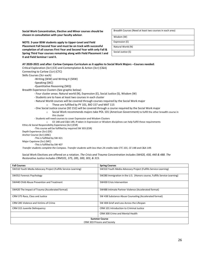**Social Work Concentration, Elective and Minor courses should be chosen in consultation with your faculty advisor**.

**NOTE: 3-year BSW students apply to Upper-Level and Field Placement Fall Second Year and must be on track with successful completion of all courses First Year and Second Year with only Fall & Spring Third Year courses remaining along with Field Placement I and II and Field Seminar I and II.**

| Breadth Courses (Need at least two courses in each area) |
|----------------------------------------------------------|
| Wisdom (W)                                               |
| Expression (E)                                           |
| Natural World (N)                                        |
| Social Justice (S)                                       |

#### **AY 2020-2021 and after: Carlow Compass Curriculum as it applies to Social Work Majors --Courses needed:**

Critical Exploration (3cr) (CE) and Contemplation & Action (3cr) (C&A)

Connecting to Carlow (1cr) (CTC)

Skills Courses (3cr each)

-Writing (SKW) and Writing II (SKW)

-Speaking (SKC)

-Quantitative Reasoning (SKQ)

Breadth Experience Clusters (See graphic below)

- Four cluster areas: Natural world (N), Expression (E), Social Justice (S), Wisdom (W)
- Students are to have at least two courses in each cluster
- Natural World courses will be covered through courses required by the Social Work major o These are fulfilled by PY 101, BIO 157 and MAT 115
- One Social Justice course (SO 152) will be covered through a course required by the Social Work major
	- o Social Work recommends majors take POL 101 (American Government) to fulfill the other breadth course in this cluster
- Students will need courses to cover Expression and Wisdom Clusters

o CE 148 and C&A 149, if taken in Expression or Wisdom disciplines can help fulfill these requirements

Ethics & Social Responsibility Experience (3cr) (ESR)

-This course will be fulfilled by required SW 303 (ESR)

Depth Experience (3cr) (DE)

Anchor Course (3cr) (ANC)

-This is fulfilled by SW 421

Major Capstone (3cr) (MC)

-This is fulfilled by SW 407

*Transfer students complete the Compass. Transfer students with less than 24 credits take CTC 101, CE 148 and C&A 149.* 

Social Work Electives are offered on a rotation. *The Crisis and Trauma Concentration includes SW420, 430, 440 & 488. The Restorative Justice includes CRM101, 375, 285, 300, 303, & 315.* 

| <b>Fall Courses</b>                                            | <b>Spring Courses</b>                                                    |  |  |  |
|----------------------------------------------------------------|--------------------------------------------------------------------------|--|--|--|
| SW310 Youth Media Advocacy Project (Fulfills Service-Learning) | SW310 Youth Media Advocacy Project (Fulfills Service-Learning)           |  |  |  |
| SW352 Forensic Psychology                                      | SW280 Immigration in the U.S. (Honors course, Fulfills Service-Learning) |  |  |  |
| SW440 Child Abuse Prevention and Treatment                     | SW430 Crisis Intervention                                                |  |  |  |
| SW420 The Impact of Trauma (Accelerated format)                | SW488 Intimate Partner Violence (Accelerated format)                     |  |  |  |
| CRM 375 Race, Class and Justice                                | SW 438 Substance Abuse Counseling (Accelerated format)                   |  |  |  |
| CRM 285 Violence and Victims of Crime                          | SW 404 Grief and Loss Across the Lifespan                                |  |  |  |
| CRM 315 Juvenile Delinguency                                   | CRM 101 Introduction to Criminal Justice                                 |  |  |  |
|                                                                | <b>CRM 300 Crime and Mental Health</b>                                   |  |  |  |
| <b>Summer Course</b>                                           |                                                                          |  |  |  |
|                                                                | CRM 303 Prisons and Society                                              |  |  |  |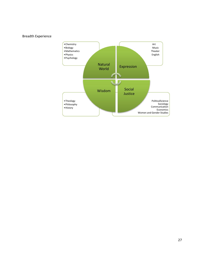## Breadth Experience

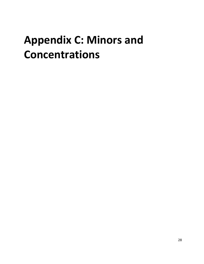# <span id="page-28-0"></span>**Appendix C: Minors and Concentrations**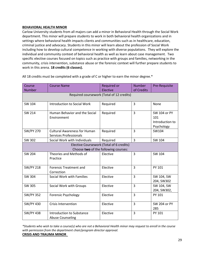#### **BEHAVIORAL HEALTH MINOR**

Carlow University students from all majors can add a minor in Behavioral Health through the Social Work department. This minor will prepare students to work in both behavioral health organizations and in settings where behavioral health impacts clients and communities such as in healthcare, education, criminal justice and advocacy. Students in this minor will learn about the profession of Social Work including how to develop cultural competence in working with diverse populations. They will explore the individual and community context of behavioral health as well as learn about case management. Two specific elective courses focused on topics such as practice with groups and families, networking in the community, crisis intervention, substance abuse or the forensic context will further prepare students to work in this arena. **18 credits (6 classes).**

| Course                                    | <b>Course Name</b>                                                   | Required or                              | <b>Number</b>  | Pre-Requisite                                        |  |  |  |  |
|-------------------------------------------|----------------------------------------------------------------------|------------------------------------------|----------------|------------------------------------------------------|--|--|--|--|
| <b>Number</b>                             |                                                                      | Elective                                 | of Credits     |                                                      |  |  |  |  |
| Required coursework (Total of 12 credits) |                                                                      |                                          |                |                                                      |  |  |  |  |
| SW 104                                    | <b>Introduction to Social Work</b>                                   | Required                                 | $\overline{3}$ | None                                                 |  |  |  |  |
| SW 214                                    | Human Behavior and the Social<br>Environment                         | Required                                 | $\overline{3}$ | SW 104 or PY<br>101<br>Introduction to<br>Psychology |  |  |  |  |
| <b>SW/PY 270</b>                          | <b>Cultural Awareness for Human</b><br><b>Services Professionals</b> | Required                                 | 3              | SW104                                                |  |  |  |  |
| SW 302                                    | Social Work with Individuals                                         | Required                                 | 3              | SW 104                                               |  |  |  |  |
|                                           |                                                                      | Elective Coursework (Total of 6 credits) |                |                                                      |  |  |  |  |
|                                           |                                                                      | Choose two of the following courses:     |                |                                                      |  |  |  |  |
| SW 204                                    | Theories and Methods of<br>Practice                                  | Elective                                 | 3              | SW 104                                               |  |  |  |  |
| <b>SW/PY 218</b>                          | <b>Forensic Treatment and</b><br>Correction                          | Elective                                 | 3              | PY 101                                               |  |  |  |  |
| SW 304                                    | Social Work with Families                                            | Elective                                 | 3              | SW 104, SW<br>204, SW302                             |  |  |  |  |
| <b>SW 305</b>                             | Social Work with Groups                                              | Elective                                 | 3              | SW 104, SW<br>204, SW302,                            |  |  |  |  |
| <b>SW/PY 352</b>                          | <b>Forensic Psychology</b>                                           | Elective                                 | 3              | PY 101                                               |  |  |  |  |
| <b>SW/PY 430</b>                          | <b>Crisis Intervention</b>                                           | Elective                                 | $\overline{3}$ | <b>SW 204 or PY</b><br>285                           |  |  |  |  |
| <b>SW/PY 438</b>                          | Introduction to Substance<br><b>Abuse Counseling</b>                 | Elective                                 | 3              | PY 101                                               |  |  |  |  |

All 18 credits must be completed with a grade of C or higher to earn the minor degree.\*

*\*Students who wish to take a course(s) who are not a Behavioral Health minor may request to enroll in the course with permission from the department chair/program director approval.* **CRISIS AND TRAUMA MINOR**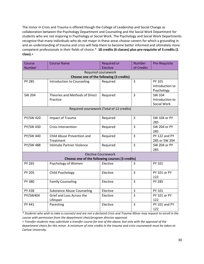The minor in Crisis and Trauma is offered though the College of Leadership and Social Change as collaboration between the Psychology Department and Counseling and the Social Work Department for students who are not majoring in Psychology or Social Work. The Psychology and Social Work Departments recognize that many individuals who do not major in these areas choose careers for which a grounding in and an understanding of trauma and crisis will help them to become better informed and ultimately more competent professionals in their fields of choice.\* **18 credits (6 classes) plus pre-requisite of 3 credits (1 class).**+

| Course                                  | <b>Course Name</b>                              | Required or                               | <b>Number</b>  | Pre-Requisite       |  |  |  |  |  |
|-----------------------------------------|-------------------------------------------------|-------------------------------------------|----------------|---------------------|--|--|--|--|--|
| <b>Number</b>                           |                                                 | Elective                                  | of Credits     |                     |  |  |  |  |  |
| Required coursework                     |                                                 |                                           |                |                     |  |  |  |  |  |
| Choose one of the following (3 credits) |                                                 |                                           |                |                     |  |  |  |  |  |
| <b>PY 285</b>                           | Introduction to Counseling                      | Required                                  | 3              | PY 101              |  |  |  |  |  |
|                                         |                                                 |                                           |                | Introduction to     |  |  |  |  |  |
|                                         |                                                 |                                           |                | Psychology          |  |  |  |  |  |
| <b>SW 204</b>                           | Theories and Methods of Direct                  | Required                                  | $\overline{3}$ | SW 104              |  |  |  |  |  |
|                                         | Practice                                        |                                           |                | Introduction to     |  |  |  |  |  |
|                                         |                                                 |                                           |                | Social Work         |  |  |  |  |  |
|                                         |                                                 | Required coursework (Total of 12 credits) |                |                     |  |  |  |  |  |
|                                         |                                                 |                                           |                |                     |  |  |  |  |  |
| <b>PY/SW 420</b>                        | Impact of Trauma                                | Required                                  | 3              | SW 104 or PY        |  |  |  |  |  |
|                                         |                                                 |                                           |                | 285                 |  |  |  |  |  |
| PY/SW 430                               | <b>Crisis Intervention</b>                      | Required                                  | 3              | SW 204 or PY        |  |  |  |  |  |
|                                         |                                                 |                                           |                | 285                 |  |  |  |  |  |
| PY/SW 440                               | Child Abuse Prevention and                      | Required                                  | $\overline{3}$ | PY 122 and PY       |  |  |  |  |  |
|                                         | Treatment                                       |                                           |                | 285 or SW 204       |  |  |  |  |  |
| <b>PY/SW 488</b>                        | Intimate Partner Violence                       | Required                                  | $\overline{3}$ | <b>SW 204 or PY</b> |  |  |  |  |  |
|                                         |                                                 |                                           |                | 285                 |  |  |  |  |  |
|                                         |                                                 | <b>Elective Coursework</b>                |                |                     |  |  |  |  |  |
|                                         | Choose one of the following courses (3 credits) |                                           |                |                     |  |  |  |  |  |
| PY 265                                  | Psychology of Women                             | Elective                                  | 3              | PY 101              |  |  |  |  |  |
|                                         |                                                 |                                           |                |                     |  |  |  |  |  |
| <b>PY 205</b>                           | Child Psychology                                | Elective                                  | 3              | PY 101 or PY        |  |  |  |  |  |
|                                         |                                                 |                                           |                | 122                 |  |  |  |  |  |
| PY 380                                  | <b>Family Counseling</b>                        | Elective                                  | 3              | <b>PY 285</b>       |  |  |  |  |  |
|                                         |                                                 |                                           |                |                     |  |  |  |  |  |
| PY 438                                  | <b>Substance Abuse Counseling</b>               | Elective                                  | 3              | PY 101              |  |  |  |  |  |
| PY/SW404                                | Grief and Loss Across the                       | Elective                                  | $\overline{3}$ | PY 101 or PY        |  |  |  |  |  |
|                                         | Lifespan                                        |                                           |                | 122                 |  |  |  |  |  |
| PY 441                                  | Parenting                                       | Elective                                  | $\overline{3}$ | PY 101 and PY       |  |  |  |  |  |
|                                         |                                                 |                                           |                | 122                 |  |  |  |  |  |

*\* Students who wish to take a course(s) and are not a declared Crisis and Trauma Minor may request to enroll in the course with permission from the department chair/program director approval.*

*+ Transfer students may substitute a transfer course for one of the above, but only with the approval of the department chairs for this minor. A minimum of nine credits in the trauma and crisis coursework must be taken at Carlow University.*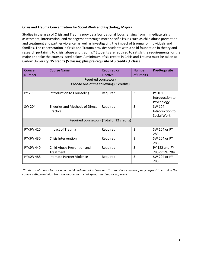## **Crisis and Trauma Concentration for Social Work and Psychology Majors**

Studies in the area of Crisis and Trauma provide a foundational focus ranging from immediate crisis assessment, intervention, and management through more specific issues such as child abuse prevention and treatment and partner violence, as well as investigating the impact of trauma for individuals and families. The concentration in Crisis and Trauma provides students with a solid foundation in theory and research pertaining to crisis, abuse and trauma.\* Students are required to satisfy the requirements for the major and take the courses listed below. A minimum of six credits in Crisis and Trauma must be taken at Carlow University. **15 credits (5 classes) plus pre-requisite of 3 credits (1 class).**

| Course                                    | Course Name                    | <b>Required or</b> | <b>Number</b> | Pre-Requisite   |  |  |
|-------------------------------------------|--------------------------------|--------------------|---------------|-----------------|--|--|
| <b>Number</b>                             |                                | Elective           | of Credits    |                 |  |  |
|                                           | Required coursework            |                    |               |                 |  |  |
| Choose one of the following (3 credits)   |                                |                    |               |                 |  |  |
|                                           |                                |                    |               |                 |  |  |
| <b>PY 285</b>                             | Introduction to Counseling     | Required           | 3             | PY 101          |  |  |
|                                           |                                |                    |               | Introduction to |  |  |
|                                           |                                |                    |               | Psychology      |  |  |
| SW 204                                    | Theories and Methods of Direct | Required           | 3             | SW 104          |  |  |
|                                           | Practice                       |                    |               | Introduction to |  |  |
|                                           |                                |                    |               | Social Work     |  |  |
| Required coursework (Total of 12 credits) |                                |                    |               |                 |  |  |
|                                           |                                |                    |               |                 |  |  |
| <b>PY/SW 420</b>                          | Impact of Trauma               | Required           | 3             | SW 104 or PY    |  |  |
|                                           |                                |                    |               | 285             |  |  |
| PY/SW 430                                 | Crisis Intervention            | Required           | 3             | SW 204 or PY    |  |  |
|                                           |                                |                    |               | 285             |  |  |
| PY/SW 440                                 | Child Abuse Prevention and     | Required           | 3             | PY 122 and PY   |  |  |
|                                           | Treatment                      |                    |               | 285 or SW 204   |  |  |
| <b>PY/SW 488</b>                          | Intimate Partner Violence      | Required           | 3             | SW 204 or PY    |  |  |
|                                           |                                |                    |               | 285             |  |  |

*\*Students who wish to take a course(s) and are not a Crisis and Trauma Concentration, may request to enroll in the course with permission from the department chair/program director approval.*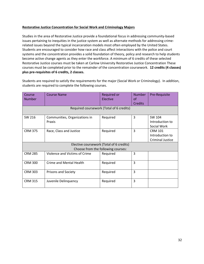#### **Restorative Justice Concentration for Social Work and Criminology Majors**

Studies in the area of Restorative Justice provide a foundational focus in addressing community-based issues pertaining to inequities in the justice system as well as alternate methods for addressing crimerelated issues beyond the typical incarceration models most often employed by the United States. Students are encouraged to consider how race and class affect interactions with the police and court systems and the concentration provides a solid foundation of theory, policy and research to help students become active change agents as they enter the workforce. A minimum of 6 credits of these selected Restorative Justice courses must be taken at Carlow University Restorative Justice Concentration These courses must be completed prior to the remainder of the concentration coursework. **12 credits (4 classes) plus pre-requisites of 6 credits, 2 classes.**

Students are required to satisfy the requirements for the major (Social Work or Criminology). In addition, students are required to complete the following courses.

| Course<br><b>Number</b>                  | <b>Course Name</b>                      | Required or<br>Elective | <b>Number</b><br>0f | Pre-Requisite                                                |  |  |
|------------------------------------------|-----------------------------------------|-------------------------|---------------------|--------------------------------------------------------------|--|--|
|                                          |                                         |                         | <b>Credits</b>      |                                                              |  |  |
| Required coursework (Total of 6 credits) |                                         |                         |                     |                                                              |  |  |
| SW 216                                   | Communities, Organizations in<br>Praxis | Required                | 3                   | SW 104<br>Introduction to<br>Social Work                     |  |  |
| <b>CRM 375</b>                           | Race, Class and Justice                 | Required                | 3                   | <b>CRM 101</b><br>Introduction to<br><b>Criminal Justice</b> |  |  |
| Elective coursework (Total of 6 credits) |                                         |                         |                     |                                                              |  |  |
| Choose from the following courses:       |                                         |                         |                     |                                                              |  |  |
| <b>CRM 285</b>                           | Violence and Victims of Crime           | Required                | 3                   |                                                              |  |  |
| <b>CRM 300</b>                           | Crime and Mental Health                 | Required                | 3                   |                                                              |  |  |
| <b>CRM 303</b>                           | <b>Prisons and Society</b>              | Required                | 3                   |                                                              |  |  |
| <b>CRM 315</b>                           | Juvenile Delinquency                    | Required                | 3                   |                                                              |  |  |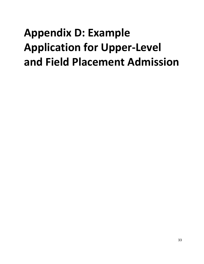# <span id="page-33-0"></span>**Appendix D: Example Application for Upper-Level and Field Placement Admission**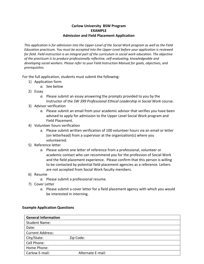## **Carlow University BSW Program EXAMPLE Admission and Field Placement Application**

*This application is for admission into the Upper-Level of the Social Work program as well as the Field Education practicum. You must be accepted into the Upper-Level before your application is reviewed for field. Field instruction is an integral part of the curriculum in social work education. The objective of the practicum is to produce professionally reflective, self-evaluating, knowledgeable and developing social workers. Please refer to your Field Instruction Manual for goals, objectives, and prerequisites.*

For the full application, students must submit the following:

- 1) Application form
	- *a.* See below
- 2) Essay
	- *a.* Please submit an essay answering the prompts provided to you by the Instructor of the *SW 399 Professional Ethical Leadership in Social Work* course.
- 3) Advisor verification
	- *a.* Please submit an email from your academic advisor that verifies you have been advised to apply for admission to the Upper Level Social Work program and Field Placement.
- 4) Volunteer hours verification
	- a. Please submit written verification of 100 volunteer hours via an email or letter (on letterhead) from a supervisor at the organization(s) where you volunteered.
- 5) Reference letter
	- *a.* Please submit one letter of reference from a professional, volunteer or academic contact who can recommend you for the profession of Social Work and the field placement experience. Please confirm that this person is willing to be contacted by potential field placement agencies as a reference. Letters are not accepted from Social Work faculty members.
- 6) Resume
	- *a.* Please submit a professional resume.
- 7) Cover Letter
	- *a.* Please submit a cover letter for a field placement agency with which you would be interested in interning.

## **General Information** Student Name: Date:

### **Example Application Questions**

| <b>Student Name:</b>    |                   |
|-------------------------|-------------------|
| Date:                   |                   |
| <b>Current Address:</b> |                   |
| City/State:             | Zip Code:         |
| Cell Phone:             |                   |
| Home Phone:             |                   |
| Carlow E-mail:          | Alternate E-mail: |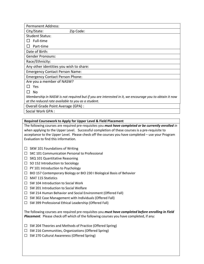| <b>Permanent Address:</b>                                                                             |
|-------------------------------------------------------------------------------------------------------|
| City/State:<br>Zip Code:                                                                              |
| <b>Student Status:</b>                                                                                |
| Full-time                                                                                             |
| Part-time                                                                                             |
| Date of Birth:                                                                                        |
| <b>Gender Pronouns:</b>                                                                               |
| Race/Ethnicity:                                                                                       |
| Any other identities you wish to share:                                                               |
| <b>Emergency Contact Person Name:</b>                                                                 |
| <b>Emergency Contact Person Phone:</b>                                                                |
| Are you a member of NASW?                                                                             |
| Yes                                                                                                   |
| No.                                                                                                   |
| Membership in NASW is not required but if you are interested in it, we encourage you to obtain it now |
| at the reduced rate available to you as a student.                                                    |
| Overall Grade Point Average (GPA) :                                                                   |
|                                                                                                       |

Social Work GPA :

### **Required Coursework to Apply for Upper Level & Field Placement**

The following courses are required pre-requisites you *must have completed or be currently enrolled in* when applying to the Upper Level. Successful completion of these courses is a pre-requisite to acceptance to the Upper Level. Please check off the courses you have completed – use your Program Evaluation to find this information.

- $\Box$  SKW 101 Foundations of Writing
- ☐ SKC 101 Communication Personal to Professional
- □ SKQ 101 Quantitative Reasoning
- $\Box$  SO 152 Introduction to Sociology
- ☐ PY 101 Introduction to Psychology
- ☐ BIO 157 Contemporary Biology or BIO 230 I Biological Basis of Behavior
- ☐ MAT 115 Statistics
- $\Box$  SW 104 Introduction to Social Work
- ☐ SW 201 Introduction to Social Welfare
- ☐ SW 214 Human Behavior and Social Environment (Offered Fall)
- ☐ SW 302 Case Management with Individuals (Offered Fall)
- ☐ SW 399 Professional Ethical Leadership (Offered Fall)

The following courses are required pre-requisites you *must have completed before enrolling in Field Placement.* Please check off which of the following courses you have completed, if any:

- ☐ SW 204 Theories and Methods of Practice (Offered Spring)
- ☐ SW 216 Communities, Organizations (Offered Spring)
- ☐ SW 270 Cultural Awareness (Offered Spring)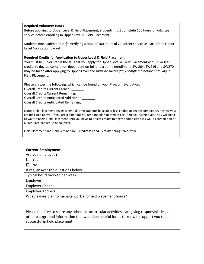#### **Required Volunteer Hours**

Before applying to Upper Level & Field Placement, students must complete 100 hours of volunteer service before enrolling in Upper Level & Field Placement.

Students must submit letter(s) verifying a total of 100 hours of volunteer service as part of the Upper Level Application packet.

#### **Required Credits for Application to Upper Level & Field Placement**

You must be junior status the fall that you apply for Upper Level & Field Placement with 30 or less credits to degree completion dependent on full or part time enrollment. SW 204, SW216 and SW270 may be taken after applying to Upper-Level and *must be successfully completed before enrolling* in Field Placement.

Please answer the following, which can be found on your Program Evaluation:

Overall Credits Current Earned: \_\_\_\_\_\_\_

Overall Credits Current Remaining:

Overall Credits Anticipated Additional: \_\_\_\_\_\_\_

Overall Credits Anticipated Remaining:

Note: Field Placement begins when full-time students have 30 or less credits to degree completion. Review your credits listed above. If you are a part-time student and plan to remain part-time your senior year, you will need to wait to begin Field Placement until you have 18 or less credits to degree completion (as well as completion of all required pre-requisite courses).

Field Placement and Field Seminar are 6 credits fall and 6 credits spring senior year.

## **Current Employment** Are you employed? □ Yes □ No If yes, answer the questions below Typical hours worked per week: Employer: Employer Phone: Employer Address: What is your plan to manage work and field placement hours?

Please feel free to share any other extracurricular activities, caregiving responsibilities, or other background information that would be helpful for us to know to support you to be successful in field placement.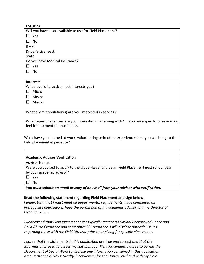| <b>Logistics</b>                                          |
|-----------------------------------------------------------|
| Will you have a car available to use for Field Placement? |
| Yes                                                       |
| No                                                        |
| If yes:                                                   |
| Driver's License #:                                       |
| State:                                                    |
| Do you have Medical Insurance?                            |
| Yes                                                       |
| No                                                        |

## **Interests**

What level of practice most interests you?

- □ Micro
- □ Mezzo
- □ Macro

What client population(s) are you interested in serving?

What types of agencies are you interested in interning with? If you have specific ones in mind, feel free to mention those here.

What have you learned at work, volunteering or in other experiences that you will bring to the field placement experience?

| <b>Academic Advisor Verification</b>                                                    |
|-----------------------------------------------------------------------------------------|
| <b>Advisor Name:</b>                                                                    |
| Were you advised to apply to the Upper-Level and begin Field Placement next school year |
| by your academic advisor?                                                               |
| <b>Yes</b>                                                                              |
| N٥                                                                                      |

*You must submit an email or copy of an email from your advisor with verification.*

## **Read the following statement regarding Field Placement and sign below:**

*I understand that I must meet all departmental requirements, have completed all prerequisite coursework, have the permission of my academic advisor and the Director of Field Education.*

*I understand that Field Placement sites typically require a Criminal Background Check and Child Abuse Clearance and sometimes FBI clearance. I will disclose potential issues regarding these with the Field Director prior to applying for specific placements.*

*I agree that the statements in this application are true and correct and that the information is used to assess my suitability for Field Placement. I agree to permit the Department of Social Work to disclose any information contained in this application among the Social Work faculty, interviewers for the Upper-Level and with my Field*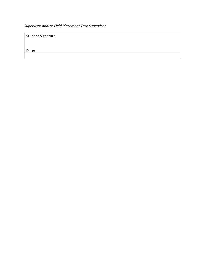*Supervisor and/or Field Placement Task Supervisor.*

| Student Signature: |  |
|--------------------|--|
|                    |  |
| Date:              |  |
|                    |  |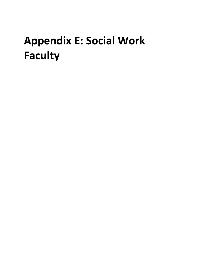# <span id="page-39-0"></span>**Appendix E: Social Work Faculty**